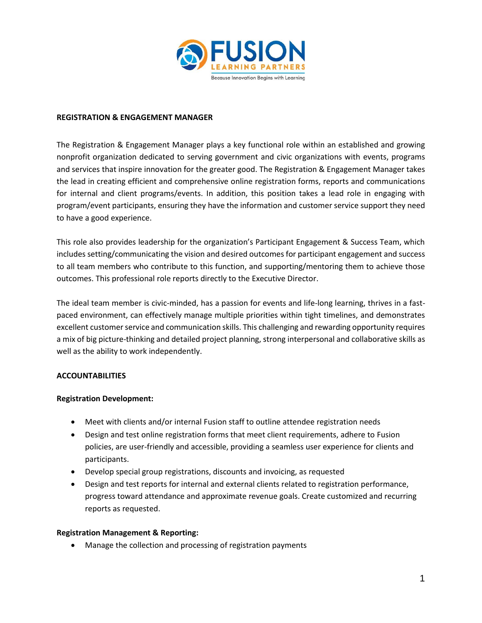

#### **REGISTRATION & ENGAGEMENT MANAGER**

The Registration & Engagement Manager plays a key functional role within an established and growing nonprofit organization dedicated to serving government and civic organizations with events, programs and services that inspire innovation for the greater good. The Registration & Engagement Manager takes the lead in creating efficient and comprehensive online registration forms, reports and communications for internal and client programs/events. In addition, this position takes a lead role in engaging with program/event participants, ensuring they have the information and customer service support they need to have a good experience.

This role also provides leadership for the organization's Participant Engagement & Success Team, which includes setting/communicating the vision and desired outcomes for participant engagement and success to all team members who contribute to this function, and supporting/mentoring them to achieve those outcomes. This professional role reports directly to the Executive Director.

The ideal team member is civic-minded, has a passion for events and life-long learning, thrives in a fastpaced environment, can effectively manage multiple priorities within tight timelines, and demonstrates excellent customer service and communication skills. This challenging and rewarding opportunity requires a mix of big picture-thinking and detailed project planning, strong interpersonal and collaborative skills as well as the ability to work independently.

# **ACCOUNTABILITIES**

### **Registration Development:**

- Meet with clients and/or internal Fusion staff to outline attendee registration needs
- Design and test online registration forms that meet client requirements, adhere to Fusion policies, are user-friendly and accessible, providing a seamless user experience for clients and participants.
- Develop special group registrations, discounts and invoicing, as requested
- Design and test reports for internal and external clients related to registration performance, progress toward attendance and approximate revenue goals. Create customized and recurring reports as requested.

### **Registration Management & Reporting:**

Manage the collection and processing of registration payments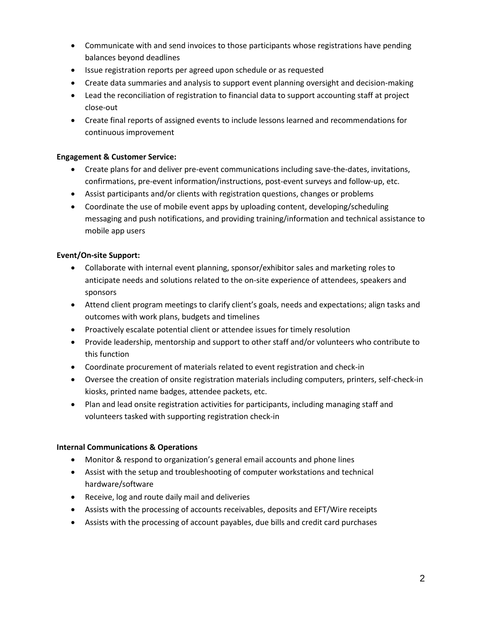- Communicate with and send invoices to those participants whose registrations have pending balances beyond deadlines
- Issue registration reports per agreed upon schedule or as requested
- Create data summaries and analysis to support event planning oversight and decision-making
- Lead the reconciliation of registration to financial data to support accounting staff at project close-out
- Create final reports of assigned events to include lessons learned and recommendations for continuous improvement

## **Engagement & Customer Service:**

- Create plans for and deliver pre-event communications including save-the-dates, invitations, confirmations, pre-event information/instructions, post-event surveys and follow-up, etc.
- Assist participants and/or clients with registration questions, changes or problems
- Coordinate the use of mobile event apps by uploading content, developing/scheduling messaging and push notifications, and providing training/information and technical assistance to mobile app users

# **Event/On-site Support:**

- Collaborate with internal event planning, sponsor/exhibitor sales and marketing roles to anticipate needs and solutions related to the on-site experience of attendees, speakers and sponsors
- Attend client program meetings to clarify client's goals, needs and expectations; align tasks and outcomes with work plans, budgets and timelines
- Proactively escalate potential client or attendee issues for timely resolution
- Provide leadership, mentorship and support to other staff and/or volunteers who contribute to this function
- Coordinate procurement of materials related to event registration and check-in
- Oversee the creation of onsite registration materials including computers, printers, self-check-in kiosks, printed name badges, attendee packets, etc.
- Plan and lead onsite registration activities for participants, including managing staff and volunteers tasked with supporting registration check-in

# **Internal Communications & Operations**

- Monitor & respond to organization's general email accounts and phone lines
- Assist with the setup and troubleshooting of computer workstations and technical hardware/software
- Receive, log and route daily mail and deliveries
- Assists with the processing of accounts receivables, deposits and EFT/Wire receipts
- Assists with the processing of account payables, due bills and credit card purchases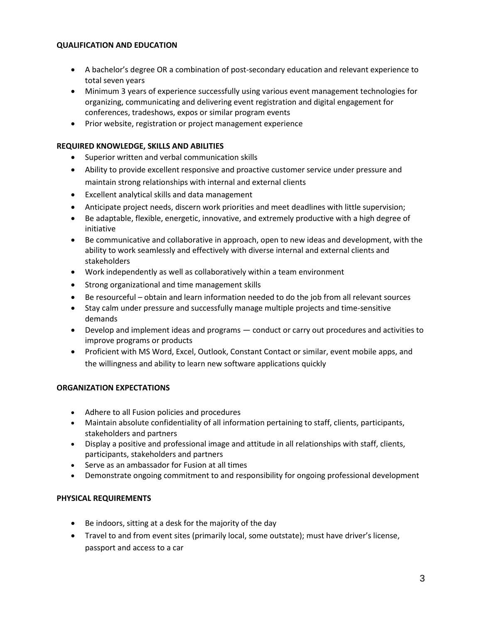## **QUALIFICATION AND EDUCATION**

- A bachelor's degree OR a combination of post-secondary education and relevant experience to total seven years
- Minimum 3 years of experience successfully using various event management technologies for organizing, communicating and delivering event registration and digital engagement for conferences, tradeshows, expos or similar program events
- Prior website, registration or project management experience

## **REQUIRED KNOWLEDGE, SKILLS AND ABILITIES**

- Superior written and verbal communication skills
- Ability to provide excellent responsive and proactive customer service under pressure and maintain strong relationships with internal and external clients
- Excellent analytical skills and data management
- Anticipate project needs, discern work priorities and meet deadlines with little supervision;
- Be adaptable, flexible, energetic, innovative, and extremely productive with a high degree of initiative
- Be communicative and collaborative in approach, open to new ideas and development, with the ability to work seamlessly and effectively with diverse internal and external clients and stakeholders
- Work independently as well as collaboratively within a team environment
- Strong organizational and time management skills
- Be resourceful obtain and learn information needed to do the job from all relevant sources
- Stay calm under pressure and successfully manage multiple projects and time-sensitive demands
- Develop and implement ideas and programs conduct or carry out procedures and activities to improve programs or products
- Proficient with MS Word, Excel, Outlook, Constant Contact or similar, event mobile apps, and the willingness and ability to learn new software applications quickly

### **ORGANIZATION EXPECTATIONS**

- Adhere to all Fusion policies and procedures
- Maintain absolute confidentiality of all information pertaining to staff, clients, participants, stakeholders and partners
- Display a positive and professional image and attitude in all relationships with staff, clients, participants, stakeholders and partners
- Serve as an ambassador for Fusion at all times
- Demonstrate ongoing commitment to and responsibility for ongoing professional development

### **PHYSICAL REQUIREMENTS**

- Be indoors, sitting at a desk for the majority of the day
- Travel to and from event sites (primarily local, some outstate); must have driver's license, passport and access to a car